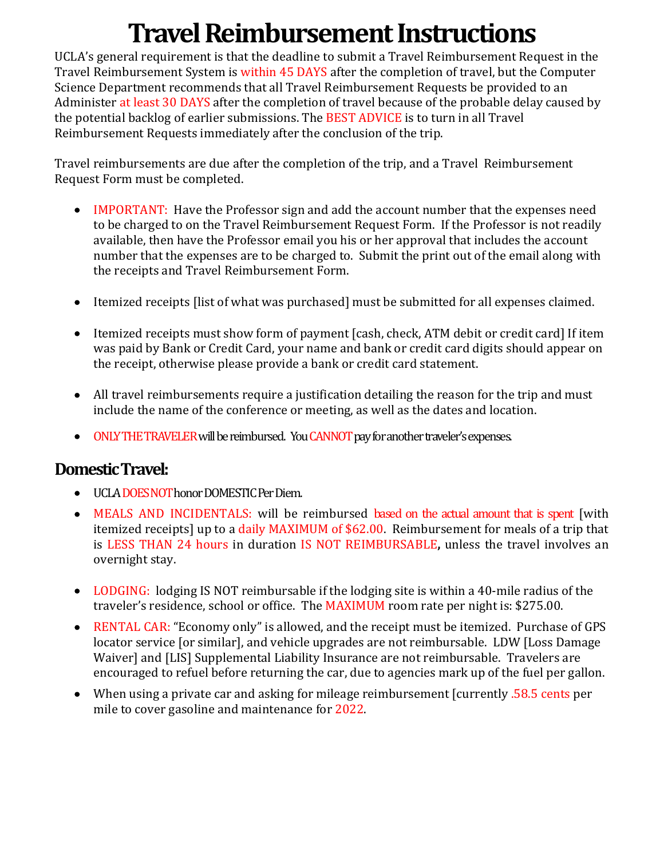# **Travel Reimbursement Instructions**

UCLA's general requirement is that the deadline to submit a Travel Reimbursement Request in the Travel Reimbursement System is within 45 DAYS after the completion of travel, but the Computer Science Department recommends that all Travel Reimbursement Requests be provided to an Administer at least 30 DAYS after the completion of travel because of the probable delay caused by the potential backlog of earlier submissions. The BEST ADVICE is to turn in all Travel Reimbursement Requests immediately after the conclusion of the trip.

Travel reimbursements are due after the completion of the trip, and a Travel Reimbursement Request Form must be completed.

- IMPORTANT: Have the Professor sign and add the account number that the expenses need to be charged to on the Travel Reimbursement Request Form. If the Professor is not readily available, then have the Professor email you his or her approval that includes the account number that the expenses are to be charged to. Submit the print out of the email along with the receipts and Travel Reimbursement Form.
- Itemized receipts [list of what was purchased] must be submitted for all expenses claimed.
- Itemized receipts must show form of payment [cash, check, ATM debit or credit card] If item was paid by Bank or Credit Card, your name and bank or credit card digits should appear on the receipt, otherwise please provide a bank or credit card statement.
- All travel reimbursements require a justification detailing the reason for the trip and must include the name of the conference or meeting, as well as the dates and location.
- ONLY THE TRAVELER will be reimbursed. You CANNOT pay for another traveler's expenses.

## **Domestic Travel:**

- UCLA DOES NOT honor DOMESTIC Per Diem.
- MEALS AND INCIDENTALS: will be reimbursed based on the actual amount that is spent [with itemized receipts] up to a daily MAXIMUM of \$62.00. Reimbursement for meals of a trip that is LESS THAN 24 hours in duration IS NOT REIMBURSABLE, unless the travel involves an overnight stay.
- LODGING: lodging IS NOT reimbursable if the lodging site is within a 40-mile radius of the traveler's residence, school or office. The MAXIMUM room rate per night is: \$275.00.
- RENTAL CAR: "Economy only" is allowed, and the receipt must be itemized. Purchase of GPS locator service [or similar], and vehicle upgrades are not reimbursable. LDW [Loss Damage Waiver] and [LIS] Supplemental Liability Insurance are not reimbursable. Travelers are encouraged to refuel before returning the car, due to agencies mark up of the fuel per gallon.
- When using a private car and asking for mileage reimbursement [currently  $.58.5$  cents per mile to cover gasoline and maintenance for 2022.